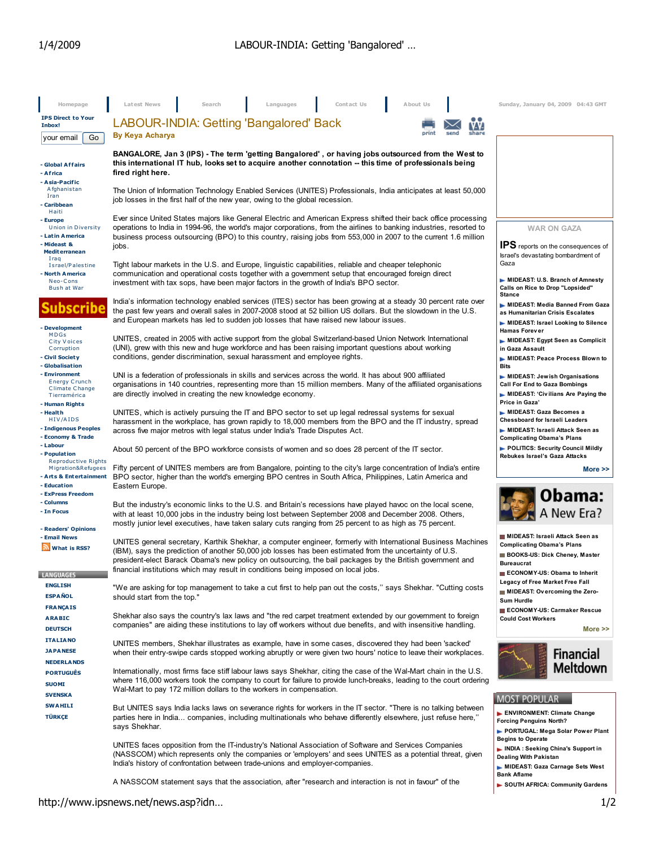| Homepage                                                                                          | Latest News<br>Contact Us<br>About Us<br>Search<br>Languages                                                                                                                                                                                                                                                                                                                                                                | Sunday, January 04, 2009 04:43 GMT                                                                                                                         |  |  |  |  |
|---------------------------------------------------------------------------------------------------|-----------------------------------------------------------------------------------------------------------------------------------------------------------------------------------------------------------------------------------------------------------------------------------------------------------------------------------------------------------------------------------------------------------------------------|------------------------------------------------------------------------------------------------------------------------------------------------------------|--|--|--|--|
| <b>IPS Direct to Your</b><br>Inbox!                                                               | LABOUR-INDIA: Getting 'Bangalored' Back                                                                                                                                                                                                                                                                                                                                                                                     |                                                                                                                                                            |  |  |  |  |
| Go<br>your email                                                                                  | By Keya Acharya                                                                                                                                                                                                                                                                                                                                                                                                             |                                                                                                                                                            |  |  |  |  |
| - Global Affairs<br>- Africa<br>- Asia-Pacific                                                    | BANGALORE, Jan 3 (IPS) - The term 'getting Bangalored', or having jobs outsourced from the West to<br>this international IT hub, looks set to acquire another connotation -- this time of professionals being<br>fired right here.                                                                                                                                                                                          |                                                                                                                                                            |  |  |  |  |
| Afghanistan<br>Iran<br>- Caribbean<br>Haiti                                                       | The Union of Information Technology Enabled Services (UNITES) Professionals, India anticipates at least 50,000<br>job losses in the first half of the new year, owing to the global recession.                                                                                                                                                                                                                              |                                                                                                                                                            |  |  |  |  |
| - Europe<br><b>Union in Diversity</b><br>- Latin America<br>- Mideast &                           | Ever since United States majors like General Electric and American Express shifted their back office processing<br>operations to India in 1994-96, the world's major corporations, from the airlines to banking industries, resorted to<br>business process outsourcing (BPO) to this country, raising jobs from 553,000 in 2007 to the current 1.6 million<br>jobs.                                                        | <b>WAR ON GAZA</b><br>IPS reports on the consequences of                                                                                                   |  |  |  |  |
| <b>Mediterranean</b><br>Iraq<br>Israel/Palestine<br>North America                                 | Israel's devastating bombardment of<br>Gaza<br>Tight labour markets in the U.S. and Europe, linguistic capabilities, reliable and cheaper telephonic<br>communication and operational costs together with a government setup that encouraged foreign direct                                                                                                                                                                 |                                                                                                                                                            |  |  |  |  |
| Neo-Cons<br>Bush at War                                                                           | investment with tax sops, have been major factors in the growth of India's BPO sector.                                                                                                                                                                                                                                                                                                                                      | MIDEAST: U.S. Branch of Amnesty<br>Calls on Rice to Drop "Lopsided"<br><b>Stance</b>                                                                       |  |  |  |  |
| subscribe<br>- Development                                                                        | India's information technology enabled services (ITES) sector has been growing at a steady 30 percent rate over<br>the past few years and overall sales in 2007-2008 stood at 52 billion US dollars. But the slowdown in the U.S.<br>and European markets has led to sudden job losses that have raised new labour issues.                                                                                                  | MIDEAST: Media Banned From Gaza<br>as Humanitarian Crisis Escalates<br>MIDEAST: Israel Looking to Silence                                                  |  |  |  |  |
| MDGs<br>City Voices<br>Corruption<br>- Civil Society                                              | UNITES, created in 2005 with active support from the global Switzerland-based Union Network International<br>(UNI), grew with this new and huge workforce and has been raising important questions about working<br>conditions, gender discrimination, sexual harassment and employee rights.                                                                                                                               | <b>Hamas Forever</b><br>MIDEAST: Egypt Seen as Complicit<br>in Gaza Assault<br>MIDEAST: Peace Process Blown to                                             |  |  |  |  |
| - Globalisation<br>- Environment<br><b>Energy Crunch</b><br><b>Climate Change</b><br>Tierramérica | UNI is a federation of professionals in skills and services across the world. It has about 900 affiliated<br>organisations in 140 countries, representing more than 15 million members. Many of the affiliated organisations<br>are directly involved in creating the new knowledge economy.                                                                                                                                | <b>Bits</b><br>MIDEAST: Jewish Organisations<br><b>Call For End to Gaza Bombings</b><br>MIDEAST: 'Civilians Are Paying the<br>Price in Gaza'               |  |  |  |  |
| - Human Rights<br>- Health<br>HIV/AIDS<br>- Indigenous Peoples<br>- Economy & Trade               | UNITES, which is actively pursuing the IT and BPO sector to set up legal redressal systems for sexual<br>harassment in the workplace, has grown rapidly to 18,000 members from the BPO and the IT industry, spread<br>across five major metros with legal status under India's Trade Disputes Act.                                                                                                                          | MIDEAST: Gaza Becomes a<br><b>Chessboard for Israeli Leaders</b><br>MIDEAST: Israeli Attack Seen as<br><b>Complicating Obama's Plans</b>                   |  |  |  |  |
| - Labour<br>- Population                                                                          | About 50 percent of the BPO workforce consists of women and so does 28 percent of the IT sector.                                                                                                                                                                                                                                                                                                                            | POLITICS: Security Council Mildly<br>Rebukes Israel's Gaza Attacks                                                                                         |  |  |  |  |
| <b>Reproductive Rights</b><br>Migration&Refugees<br>- Arts & Entertainment<br>- Education         | Fifty percent of UNITES members are from Bangalore, pointing to the city's large concentration of India's entire<br>BPO sector, higher than the world's emerging BPO centres in South Africa, Philippines, Latin America and<br>Eastern Europe.                                                                                                                                                                             | More $\gg$                                                                                                                                                 |  |  |  |  |
| - ExPress Freedom                                                                                 |                                                                                                                                                                                                                                                                                                                                                                                                                             | Obama:                                                                                                                                                     |  |  |  |  |
| - Columns<br>- In Focus<br>- Readers' Opinions                                                    | But the industry's economic links to the U.S. and Britain's recessions have played havoc on the local scene,<br>with at least 10,000 jobs in the industry being lost between September 2008 and December 2008. Others,<br>mostly junior level executives, have taken salary cuts ranging from 25 percent to as high as 75 percent.                                                                                          | A New Era?                                                                                                                                                 |  |  |  |  |
| - Email News<br>What is RSS?<br><b>LANGUAGES</b>                                                  | UNITES general secretary, Karthik Shekhar, a computer engineer, formerly with International Business Machines<br>(IBM), says the prediction of another 50,000 job losses has been estimated from the uncertainty of U.S.<br>president-elect Barack Obama's new policy on outsourcing, the bail packages by the British government and<br>financial institutions which may result in conditions being imposed on local jobs. | MIDEAST: Israeli Attack Seen as<br><b>Complicating Obama's Plans</b><br>BOOKS-US: Dick Cheney, Master<br><b>Bureaucrat</b><br>ECONOMY-US: Obama to Inherit |  |  |  |  |
| <b>ENGLISH</b><br><b>ESPAÑOL</b>                                                                  | "We are asking for top management to take a cut first to help pan out the costs," says Shekhar. "Cutting costs<br>should start from the top."                                                                                                                                                                                                                                                                               | Legacy of Free Market Free Fall<br>MIDEAST: Overcoming the Zero-<br>Sum Hurdle                                                                             |  |  |  |  |
| <b>FRANÇAIS</b><br><b>ARABIC</b><br><b>DEUTSCH</b>                                                | Shekhar also says the country's lax laws and "the red carpet treatment extended by our government to foreign<br>companies" are aiding these institutions to lay off workers without due benefits, and with insensitive handling.                                                                                                                                                                                            | ECONOMY-US: Carmaker Rescue<br><b>Could Cost Workers</b><br>More $\gg$                                                                                     |  |  |  |  |
| <b>ITALIANO</b><br><b>JAPANESE</b><br><b>NEDERLANDS</b>                                           | UNITES members, Shekhar illustrates as example, have in some cases, discovered they had been 'sacked'<br>when their entry-swipe cards stopped working abruptly or were given two hours' notice to leave their workplaces.                                                                                                                                                                                                   | <b>Financial</b>                                                                                                                                           |  |  |  |  |
| <b>PORTUGUÊS</b><br><b>SUOMI</b><br><b>SVENSKA</b>                                                | Internationally, most firms face stiff labour laws says Shekhar, citing the case of the Wal-Mart chain in the U.S.<br>where 116,000 workers took the company to court for failure to provide lunch-breaks, leading to the court ordering<br>Wal-Mart to pay 172 million dollars to the workers in compensation.                                                                                                             | Meltdown                                                                                                                                                   |  |  |  |  |
| <b>SWAHILI</b><br>TÜRKÇE                                                                          | But UNITES says India lacks laws on severance rights for workers in the IT sector. "There is no talking between<br>parties here in India companies, including multinationals who behave differently elsewhere, just refuse here,"<br>says Shekhar.                                                                                                                                                                          | <b>MOST POPULAR</b><br>ENVIRONMENT: Climate Change<br><b>Forcing Penguins North?</b><br>PORTUGAL: Mega Solar Power Plant                                   |  |  |  |  |
|                                                                                                   | UNITES faces opposition from the IT-industry's National Association of Software and Services Companies<br>(NASSCOM) which represents only the companies or 'employers' and sees UNITES as a potential threat, given<br>India's history of confrontation between trade-unions and employer-companies.                                                                                                                        | <b>Begins to Operate</b><br>NDIA : Seeking China's Support in<br><b>Dealing With Pakistan</b><br>MIDEAST: Gaza Carnage Sets West                           |  |  |  |  |
|                                                                                                   | A NASSCOM statement says that the association, after "research and interaction is not in favour" of the                                                                                                                                                                                                                                                                                                                     | <b>Bank Aflame</b><br>SOUTH AFRICA: Community Gardens                                                                                                      |  |  |  |  |